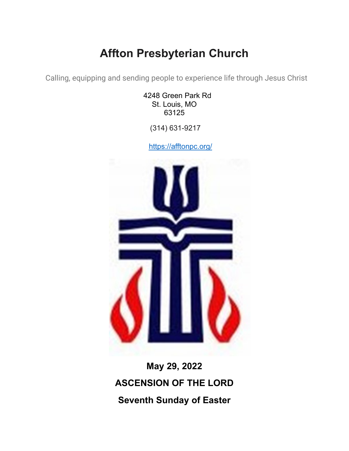# **Affton Presbyterian Church**

Calling, equipping and sending people to experience life through Jesus Christ

4248 Green Park Rd St. Louis, MO 63125

(314) 631-9217

<https://afftonpc.org/>



**May 29, 2022 ASCENSION OF THE LORD Seventh Sunday of Easter**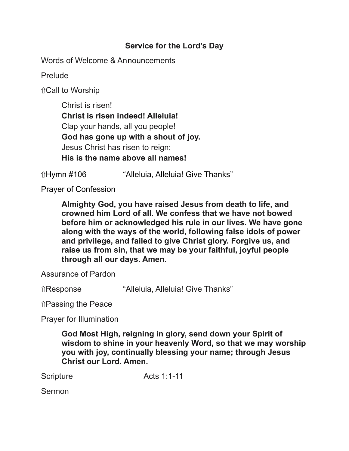## **Service for the Lord's Day**

Words of Welcome & Announcements

Prelude

⇧Call to Worship

Christ is risen! **Christ is risen indeed! Alleluia!** Clap your hands, all you people! **God has gone up with a shout of joy.** Jesus Christ has risen to reign; **His is the name above all names!**

ûHymn #106 "Alleluia, Alleluia! Give Thanks"

Prayer of Confession

**Almighty God, you have raised Jesus from death to life, and crowned him Lord of all. We confess that we have not bowed before him or acknowledged his rule in our lives. We have gone along with the ways of the world, following false idols of power and privilege, and failed to give Christ glory. Forgive us, and raise us from sin, that we may be your faithful, joyful people through all our days. Amen.**

Assurance of Pardon

⇧Response "Alleluia, Alleluia! Give Thanks"

⇧Passing the Peace

Prayer for Illumination

**God Most High, reigning in glory, send down your Spirit of wisdom to shine in your heavenly Word, so that we may worship you with joy, continually blessing your name; through Jesus Christ our Lord. Amen.**

Scripture Acts 1:1-11

Sermon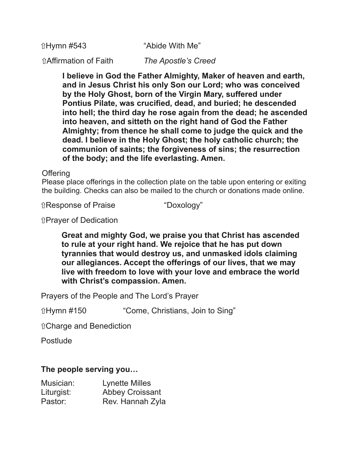ûHymn #543 "Abide With Me

⇧Affirmation of Faith *The Apostle's Creed*

**I believe in God the Father Almighty, Maker of heaven and earth, and in Jesus Christ his only Son our Lord; who was conceived by the Holy Ghost, born of the Virgin Mary, suffered under Pontius Pilate, was crucified, dead, and buried; he descended into hell; the third day he rose again from the dead; he ascended into heaven, and sitteth on the right hand of God the Father Almighty; from thence he shall come to judge the quick and the dead. I believe in the Holy Ghost; the holy catholic church; the communion of saints; the forgiveness of sins; the resurrection of the body; and the life everlasting. Amen.**

**Offering** 

Please place offerings in the collection plate on the table upon entering or exiting the building. Checks can also be mailed to the church or donations made online.

⇧Response of Praise "Doxology"

⇧Prayer of Dedication

**Great and mighty God, we praise you that Christ has ascended to rule at your right hand. We rejoice that he has put down tyrannies that would destroy us, and unmasked idols claiming our allegiances. Accept the offerings of our lives, that we may live with freedom to love with your love and embrace the world with Christ's compassion. Amen.**

Prayers of the People and The Lord's Prayer

⇧Hymn #150 "Come, Christians, Join to Sing"

⇧Charge and Benediction

**Postlude** 

#### **The people serving you…**

| Musician:  | <b>Lynette Milles</b>  |
|------------|------------------------|
| Liturgist: | <b>Abbey Croissant</b> |
| Pastor:    | Rev. Hannah Zyla       |